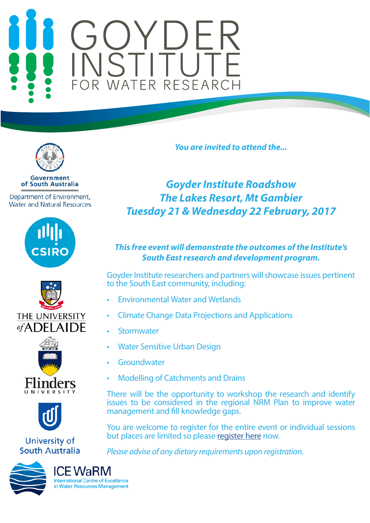# FOR WATER RESEARCH



**Government** of South Australia

Department of Environment, **Water and Natural Resources** 









# University of **South Australia**



*You are invited to attend the...* 

# *Goyder Institute Roadshow The Lakes Resort, Mt Gambier Tuesday 21 & Wednesday 22 February, 2017*

# *This free event will demonstrate the outcomes of the Institute's South East research and development program.*

Goyder Institute researchers and partners will showcase issues pertinent to the South East community, including:

- Environmental Water and Wetlands
- Climate Change Data Projections and Applications
- **Stormwater**
- Water Sensitive Urban Design
- **Groundwater**
- Modelling of Catchments and Drains

There will be the opportunity to workshop the research and identify issues to be considered in the regional NRM Plan to improve water management and fill knowledge gaps.

You are welcome to register for the entire event or individual sessions but places are limited so please [register here](https://www.eventbrite.com/e/goyder-institute-roadshow-tickets-31141285423) now.

*Please advise of any dietary requirements upon registration.*